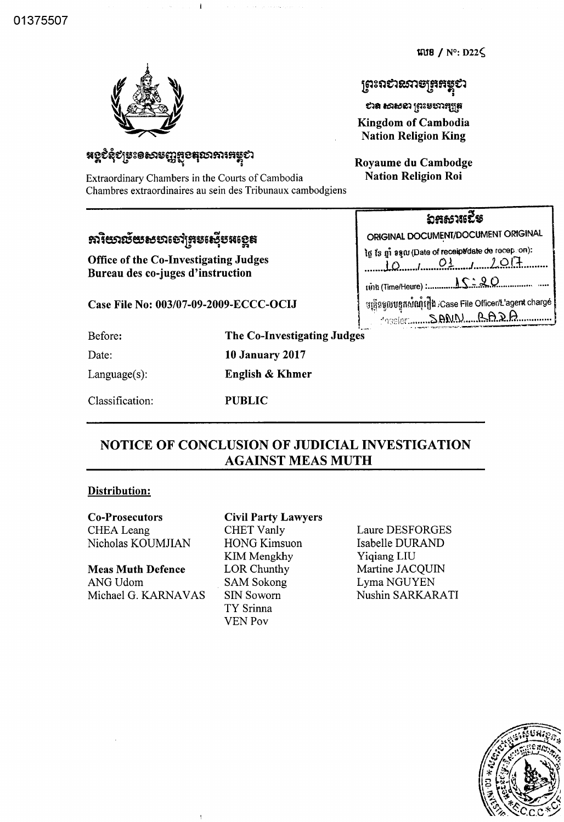$W18 / N^{\circ}$ : D22 $\zeta$ 

## ត្រះរាសនេះបើដែងតិស្

ಲಾದ ಅಲಂಬ lösaಮಚೆඩಿಟ **Kingdom of Cambodia Nation Religion King** 

Royaume du Cambodge **Nation Religion Roi** 

# **អ**ខ្ពខំនុំខ្យួចះទសរបញ្ញវួខេត្**លា**ភារអង្គុខា

Extraordinary Chambers in the Courts of Cambodia Chambres extraordinaires au sein des Tribunaux cambodgiens

# **ភារិយាល័យស**មាសៅត្រូ**របស្ទើបអ**ខ្<del>លេ</del>ធ

Office of the Co-Investigating Judges Bureau des co-juges d'instruction

Case File No: 003/07-09-2009-ECCC-OCIJ

Before:

Date:

Language(s):

The Co-Investigating Judges **10 January 2017 English & Khmer** 

 $\hat{\phi}$  is denoted as

Classification: **PUBLIC** 

## NOTICE OF CONCLUSION OF JUDICIAL INVESTIGATION **AGAINST MEAS MUTH**

### **Distribution:**

**Co-Prosecutors CHEA** Leang Nicholas KOUMJIAN

**Meas Muth Defence** ANG Udom Michael G. KARNAVAS

### **Civil Party Lawyers**

**CHET Vanly HONG Kimsuon** KIM Mengkhy LOR Chunthy **SAM Sokong SIN Soworn** TY Srinna **VEN Pov** 

Laure DESFORGES Isabelle DURAND Yigiang LIU Martine JACQUIN Lyma NGUYEN Nushin SARKARATI



ឯສសາເວີຣ ORIGINAL DOCUMENT/DOCUMENT ORIGINAL In is gi sam (Date of receipt/date de recep.on):  $10$   $01$   $01$   $10$   $11$   $01$ នន្ត្រីនទូលបន្ទុកសំណ្តុំរឿង /Case File Officer/L'agent chargé MOSSET SAMN AARA